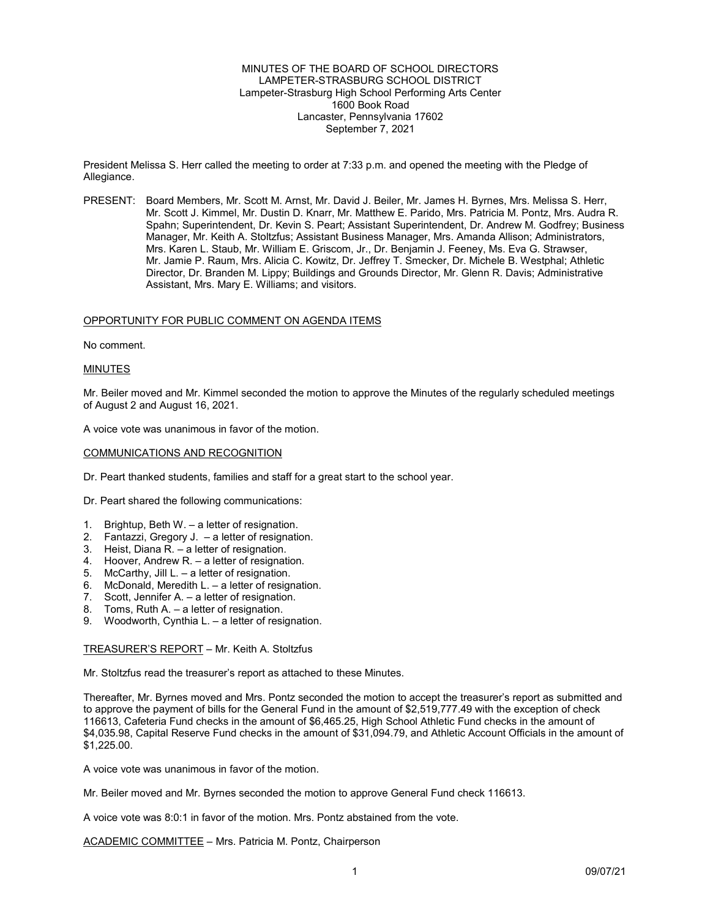MINUTES OF THE BOARD OF SCHOOL DIRECTORS LAMPETER-STRASBURG SCHOOL DISTRICT Lampeter-Strasburg High School Performing Arts Center 1600 Book Road Lancaster, Pennsylvania 17602 September 7, 2021

President Melissa S. Herr called the meeting to order at 7:33 p.m. and opened the meeting with the Pledge of Allegiance.

PRESENT: Board Members, Mr. Scott M. Arnst, Mr. David J. Beiler, Mr. James H. Byrnes, Mrs. Melissa S. Herr, Mr. Scott J. Kimmel, Mr. Dustin D. Knarr, Mr. Matthew E. Parido, Mrs. Patricia M. Pontz, Mrs. Audra R. Spahn; Superintendent, Dr. Kevin S. Peart; Assistant Superintendent, Dr. Andrew M. Godfrey; Business Manager, Mr. Keith A. Stoltzfus; Assistant Business Manager, Mrs. Amanda Allison; Administrators, Mrs. Karen L. Staub, Mr. William E. Griscom, Jr., Dr. Benjamin J. Feeney, Ms. Eva G. Strawser, Mr. Jamie P. Raum, Mrs. Alicia C. Kowitz, Dr. Jeffrey T. Smecker, Dr. Michele B. Westphal; Athletic Director, Dr. Branden M. Lippy; Buildings and Grounds Director, Mr. Glenn R. Davis; Administrative Assistant, Mrs. Mary E. Williams; and visitors.

#### OPPORTUNITY FOR PUBLIC COMMENT ON AGENDA ITEMS

No comment.

#### MINUTES

Mr. Beiler moved and Mr. Kimmel seconded the motion to approve the Minutes of the regularly scheduled meetings of August 2 and August 16, 2021.

A voice vote was unanimous in favor of the motion.

### COMMUNICATIONS AND RECOGNITION

Dr. Peart thanked students, families and staff for a great start to the school year.

Dr. Peart shared the following communications:

- 1. Brightup, Beth W. a letter of resignation.
- 2. Fantazzi, Gregory J. a letter of resignation.
- 3. Heist, Diana R. a letter of resignation.
- 4. Hoover, Andrew R. a letter of resignation.
- 5. McCarthy, Jill L. a letter of resignation.
- 6. McDonald, Meredith L. a letter of resignation.
- 7. Scott, Jennifer A. a letter of resignation.
- 8. Toms, Ruth A. a letter of resignation.
- 9. Woodworth, Cynthia L. a letter of resignation.

TREASURER'S REPORT – Mr. Keith A. Stoltzfus

Mr. Stoltzfus read the treasurer's report as attached to these Minutes.

Thereafter, Mr. Byrnes moved and Mrs. Pontz seconded the motion to accept the treasurer's report as submitted and to approve the payment of bills for the General Fund in the amount of \$2,519,777.49 with the exception of check 116613, Cafeteria Fund checks in the amount of \$6,465.25, High School Athletic Fund checks in the amount of \$4,035.98, Capital Reserve Fund checks in the amount of \$31,094.79, and Athletic Account Officials in the amount of \$1,225.00.

A voice vote was unanimous in favor of the motion.

Mr. Beiler moved and Mr. Byrnes seconded the motion to approve General Fund check 116613.

A voice vote was 8:0:1 in favor of the motion. Mrs. Pontz abstained from the vote.

ACADEMIC COMMITTEE – Mrs. Patricia M. Pontz, Chairperson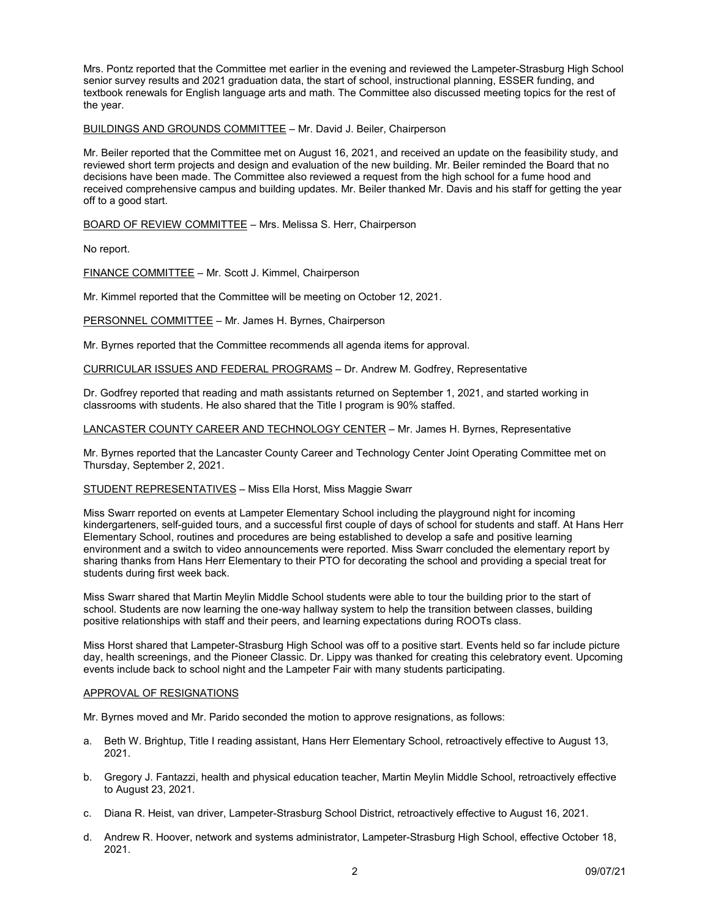Mrs. Pontz reported that the Committee met earlier in the evening and reviewed the Lampeter-Strasburg High School senior survey results and 2021 graduation data, the start of school, instructional planning, ESSER funding, and textbook renewals for English language arts and math. The Committee also discussed meeting topics for the rest of the year.

# BUILDINGS AND GROUNDS COMMITTEE – Mr. David J. Beiler, Chairperson

Mr. Beiler reported that the Committee met on August 16, 2021, and received an update on the feasibility study, and reviewed short term projects and design and evaluation of the new building. Mr. Beiler reminded the Board that no decisions have been made. The Committee also reviewed a request from the high school for a fume hood and received comprehensive campus and building updates. Mr. Beiler thanked Mr. Davis and his staff for getting the year off to a good start.

BOARD OF REVIEW COMMITTEE – Mrs. Melissa S. Herr, Chairperson

No report.

FINANCE COMMITTEE – Mr. Scott J. Kimmel, Chairperson

Mr. Kimmel reported that the Committee will be meeting on October 12, 2021.

PERSONNEL COMMITTEE – Mr. James H. Byrnes, Chairperson

Mr. Byrnes reported that the Committee recommends all agenda items for approval.

CURRICULAR ISSUES AND FEDERAL PROGRAMS – Dr. Andrew M. Godfrey, Representative

Dr. Godfrey reported that reading and math assistants returned on September 1, 2021, and started working in classrooms with students. He also shared that the Title I program is 90% staffed.

LANCASTER COUNTY CAREER AND TECHNOLOGY CENTER – Mr. James H. Byrnes, Representative

Mr. Byrnes reported that the Lancaster County Career and Technology Center Joint Operating Committee met on Thursday, September 2, 2021.

#### STUDENT REPRESENTATIVES – Miss Ella Horst, Miss Maggie Swarr

Miss Swarr reported on events at Lampeter Elementary School including the playground night for incoming kindergarteners, self-guided tours, and a successful first couple of days of school for students and staff. At Hans Herr Elementary School, routines and procedures are being established to develop a safe and positive learning environment and a switch to video announcements were reported. Miss Swarr concluded the elementary report by sharing thanks from Hans Herr Elementary to their PTO for decorating the school and providing a special treat for students during first week back.

Miss Swarr shared that Martin Meylin Middle School students were able to tour the building prior to the start of school. Students are now learning the one-way hallway system to help the transition between classes, building positive relationships with staff and their peers, and learning expectations during ROOTs class.

Miss Horst shared that Lampeter-Strasburg High School was off to a positive start. Events held so far include picture day, health screenings, and the Pioneer Classic. Dr. Lippy was thanked for creating this celebratory event. Upcoming events include back to school night and the Lampeter Fair with many students participating.

#### APPROVAL OF RESIGNATIONS

Mr. Byrnes moved and Mr. Parido seconded the motion to approve resignations, as follows:

- a. Beth W. Brightup, Title I reading assistant, Hans Herr Elementary School, retroactively effective to August 13, 2021.
- b. Gregory J. Fantazzi, health and physical education teacher, Martin Meylin Middle School, retroactively effective to August 23, 2021.
- c. Diana R. Heist, van driver, Lampeter-Strasburg School District, retroactively effective to August 16, 2021.
- d. Andrew R. Hoover, network and systems administrator, Lampeter-Strasburg High School, effective October 18, 2021.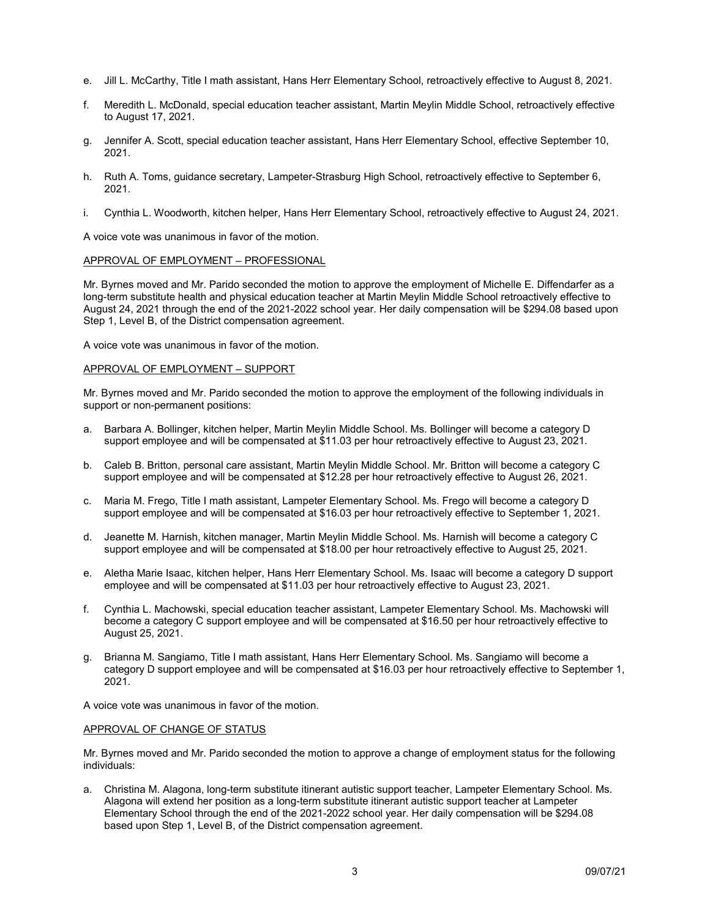- e. Jill L. McCarthy, Title I math assistant, Hans Herr Elementary School, retroactively effective to August 8, 2021.
- f. Meredith L. McDonald, special education teacher assistant, Martin Meylin Middle School, retroactively effective to August 17, 2021.
- g. Jennifer A. Scott, special education teacher assistant, Hans Herr Elementary School, effective September 10, 2021.
- h. Ruth A. Toms, guidance secretary, Lampeter-Strasburg High School, retroactively effective to September 6, 2021.
- i. Cynthia L. Woodworth, kitchen helper, Hans Herr Elementary School, retroactively effective to August 24, 2021.

A voice vote was unanimous in favor of the motion.

## APPROVAL OF EMPLOYMENT – PROFESSIONAL

Mr. Byrnes moved and Mr. Parido seconded the motion to approve the employment of Michelle E. Diffendarfer as a long-term substitute health and physical education teacher at Martin Meylin Middle School retroactively effective to August 24, 2021 through the end of the 2021-2022 school year. Her daily compensation will be \$294.08 based upon Step 1, Level B, of the District compensation agreement.

A voice vote was unanimous in favor of the motion.

#### APPROVAL OF EMPLOYMENT – SUPPORT

Mr. Byrnes moved and Mr. Parido seconded the motion to approve the employment of the following individuals in support or non-permanent positions:

- a. Barbara A. Bollinger, kitchen helper, Martin Meylin Middle School. Ms. Bollinger will become a category D support employee and will be compensated at \$11.03 per hour retroactively effective to August 23, 2021.
- b. Caleb B. Britton, personal care assistant, Martin Meylin Middle School. Mr. Britton will become a category C support employee and will be compensated at \$12.28 per hour retroactively effective to August 26, 2021.
- c. Maria M. Frego, Title I math assistant, Lampeter Elementary School. Ms. Frego will become a category D support employee and will be compensated at \$16.03 per hour retroactively effective to September 1, 2021.
- d. Jeanette M. Harnish, kitchen manager, Martin Meylin Middle School. Ms. Harnish will become a category C support employee and will be compensated at \$18.00 per hour retroactively effective to August 25, 2021.
- e. Aletha Marie Isaac, kitchen helper, Hans Herr Elementary School. Ms. Isaac will become a category D support employee and will be compensated at \$11.03 per hour retroactively effective to August 23, 2021.
- f. Cynthia L. Machowski, special education teacher assistant, Lampeter Elementary School. Ms. Machowski will become a category C support employee and will be compensated at \$16.50 per hour retroactively effective to August 25, 2021.
- Brianna M. Sangiamo, Title I math assistant, Hans Herr Elementary School. Ms. Sangiamo will become a category D support employee and will be compensated at \$16.03 per hour retroactively effective to September 1, 2021.

A voice vote was unanimous in favor of the motion.

#### APPROVAL OF CHANGE OF STATUS

Mr. Byrnes moved and Mr. Parido seconded the motion to approve a change of employment status for the following individuals:

a. Christina M. Alagona, long-term substitute itinerant autistic support teacher, Lampeter Elementary School. Ms. Alagona will extend her position as a long-term substitute itinerant autistic support teacher at Lampeter Elementary School through the end of the 2021-2022 school year. Her daily compensation will be \$294.08 based upon Step 1, Level B, of the District compensation agreement.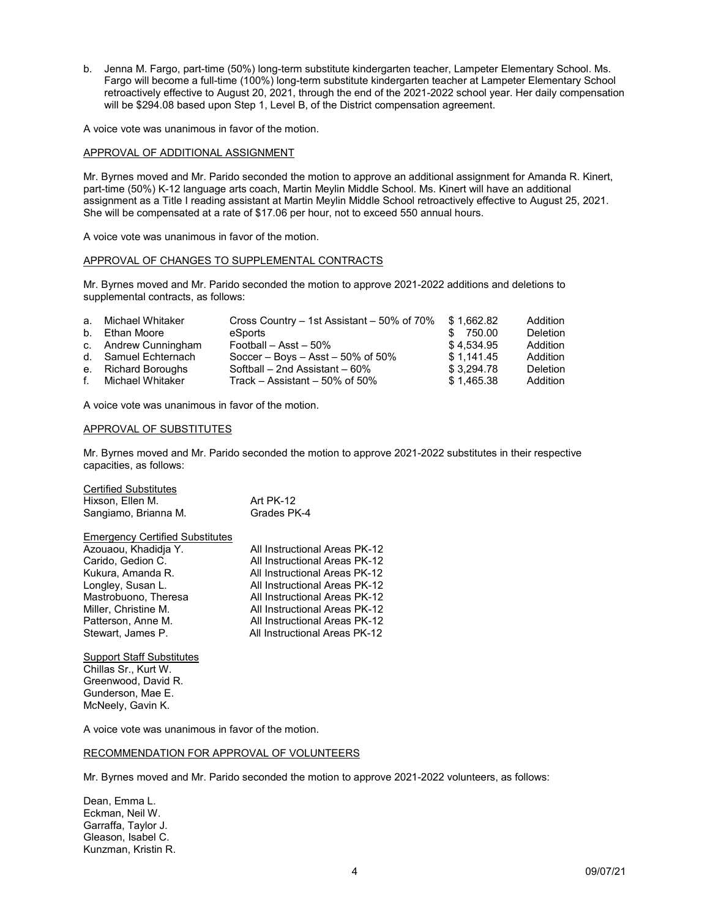b. Jenna M. Fargo, part-time (50%) long-term substitute kindergarten teacher, Lampeter Elementary School. Ms. Fargo will become a full-time (100%) long-term substitute kindergarten teacher at Lampeter Elementary School retroactively effective to August 20, 2021, through the end of the 2021-2022 school year. Her daily compensation will be \$294.08 based upon Step 1, Level B, of the District compensation agreement.

A voice vote was unanimous in favor of the motion.

## APPROVAL OF ADDITIONAL ASSIGNMENT

Mr. Byrnes moved and Mr. Parido seconded the motion to approve an additional assignment for Amanda R. Kinert, part-time (50%) K-12 language arts coach, Martin Meylin Middle School. Ms. Kinert will have an additional assignment as a Title I reading assistant at Martin Meylin Middle School retroactively effective to August 25, 2021. She will be compensated at a rate of \$17.06 per hour, not to exceed 550 annual hours.

A voice vote was unanimous in favor of the motion.

## APPROVAL OF CHANGES TO SUPPLEMENTAL CONTRACTS

Mr. Byrnes moved and Mr. Parido seconded the motion to approve 2021-2022 additions and deletions to supplemental contracts, as follows:

| a. Michael Whitaker  | Cross Country – 1st Assistant – 50% of 70% | \$1.662.82 | Addition        |
|----------------------|--------------------------------------------|------------|-----------------|
| b. Ethan Moore       | eSports                                    | \$ 750.00  | <b>Deletion</b> |
| c. Andrew Cunningham | Football - Asst - 50%                      | \$4.534.95 | Addition        |
| d. Samuel Echternach | Soccer – Boys – Asst – $50\%$ of $50\%$    | \$1.141.45 | Addition        |
| e. Richard Boroughs  | Softball - 2nd Assistant - 60%             | \$3.294.78 | <b>Deletion</b> |
| f. Michael Whitaker  | Track – Assistant – 50% of 50%             | \$1.465.38 | Addition        |

A voice vote was unanimous in favor of the motion.

#### APPROVAL OF SUBSTITUTES

Mr. Byrnes moved and Mr. Parido seconded the motion to approve 2021-2022 substitutes in their respective capacities, as follows:

| <b>Certified Substitutes</b><br>Hixson, Ellen M.<br>Sangiamo, Brianna M.                                                                                                                                                 | Art PK-12<br>Grades PK-4                                                                                                                                                                                                                                             |
|--------------------------------------------------------------------------------------------------------------------------------------------------------------------------------------------------------------------------|----------------------------------------------------------------------------------------------------------------------------------------------------------------------------------------------------------------------------------------------------------------------|
| <b>Emergency Certified Substitutes</b><br>Azouaou, Khadidja Y.<br>Carido, Gedion C.<br>Kukura, Amanda R.<br>Longley, Susan L.<br>Mastrobuono, Theresa<br>Miller, Christine M.<br>Patterson, Anne M.<br>Stewart, James P. | All Instructional Areas PK-12<br>All Instructional Areas PK-12<br>All Instructional Areas PK-12<br>All Instructional Areas PK-12<br>All Instructional Areas PK-12<br>All Instructional Areas PK-12<br>All Instructional Areas PK-12<br>All Instructional Areas PK-12 |
|                                                                                                                                                                                                                          |                                                                                                                                                                                                                                                                      |

**Support Staff Substitutes** Chillas Sr., Kurt W. Greenwood, David R. Gunderson, Mae E. McNeely, Gavin K.

A voice vote was unanimous in favor of the motion.

# RECOMMENDATION FOR APPROVAL OF VOLUNTEERS

Mr. Byrnes moved and Mr. Parido seconded the motion to approve 2021-2022 volunteers, as follows:

Dean, Emma L. Eckman, Neil W. Garraffa, Taylor J. Gleason, Isabel C. Kunzman, Kristin R.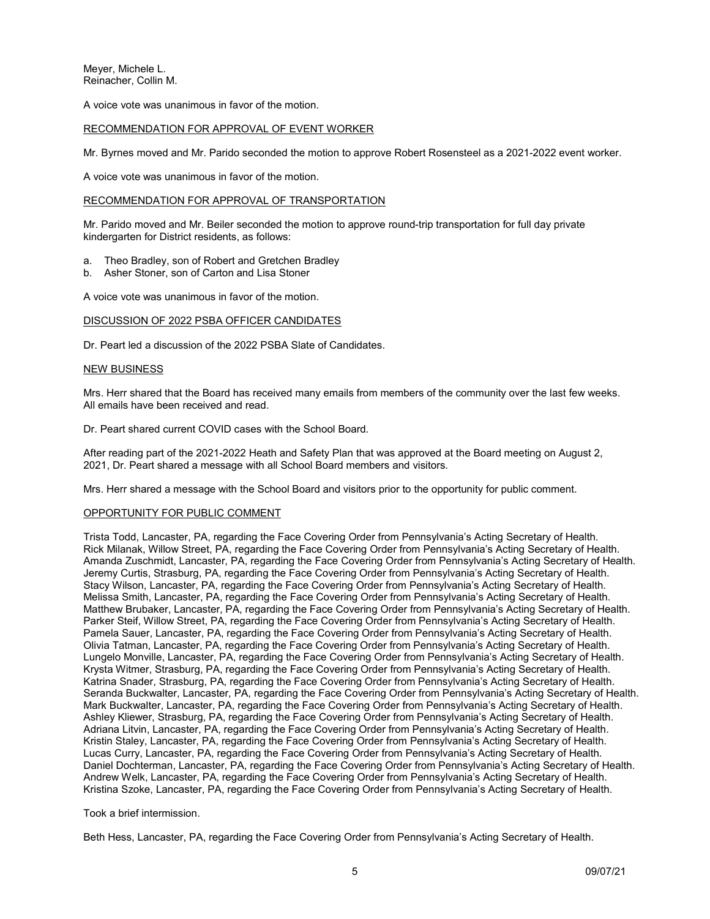Meyer, Michele L. Reinacher, Collin M.

A voice vote was unanimous in favor of the motion.

## RECOMMENDATION FOR APPROVAL OF EVENT WORKER

Mr. Byrnes moved and Mr. Parido seconded the motion to approve Robert Rosensteel as a 2021-2022 event worker.

A voice vote was unanimous in favor of the motion.

## RECOMMENDATION FOR APPROVAL OF TRANSPORTATION

Mr. Parido moved and Mr. Beiler seconded the motion to approve round-trip transportation for full day private kindergarten for District residents, as follows:

- a. Theo Bradley, son of Robert and Gretchen Bradley
- b. Asher Stoner, son of Carton and Lisa Stoner

A voice vote was unanimous in favor of the motion.

## DISCUSSION OF 2022 PSBA OFFICER CANDIDATES

Dr. Peart led a discussion of the 2022 PSBA Slate of Candidates.

#### NEW BUSINESS

Mrs. Herr shared that the Board has received many emails from members of the community over the last few weeks. All emails have been received and read.

Dr. Peart shared current COVID cases with the School Board.

After reading part of the 2021-2022 Heath and Safety Plan that was approved at the Board meeting on August 2, 2021, Dr. Peart shared a message with all School Board members and visitors.

Mrs. Herr shared a message with the School Board and visitors prior to the opportunity for public comment.

# OPPORTUNITY FOR PUBLIC COMMENT

Trista Todd, Lancaster, PA, regarding the Face Covering Order from Pennsylvania's Acting Secretary of Health. Rick Milanak, Willow Street, PA, regarding the Face Covering Order from Pennsylvania's Acting Secretary of Health. Amanda Zuschmidt, Lancaster, PA, regarding the Face Covering Order from Pennsylvania's Acting Secretary of Health. Jeremy Curtis, Strasburg, PA, regarding the Face Covering Order from Pennsylvania's Acting Secretary of Health. Stacy Wilson, Lancaster, PA, regarding the Face Covering Order from Pennsylvania's Acting Secretary of Health. Melissa Smith, Lancaster, PA, regarding the Face Covering Order from Pennsylvania's Acting Secretary of Health. Matthew Brubaker, Lancaster, PA, regarding the Face Covering Order from Pennsylvania's Acting Secretary of Health. Parker Steif, Willow Street, PA, regarding the Face Covering Order from Pennsylvania's Acting Secretary of Health. Pamela Sauer, Lancaster, PA, regarding the Face Covering Order from Pennsylvania's Acting Secretary of Health. Olivia Tatman, Lancaster, PA, regarding the Face Covering Order from Pennsylvania's Acting Secretary of Health. Lungelo Monville, Lancaster, PA, regarding the Face Covering Order from Pennsylvania's Acting Secretary of Health. Krysta Witmer, Strasburg, PA, regarding the Face Covering Order from Pennsylvania's Acting Secretary of Health. Katrina Snader, Strasburg, PA, regarding the Face Covering Order from Pennsylvania's Acting Secretary of Health. Seranda Buckwalter, Lancaster, PA, regarding the Face Covering Order from Pennsylvania's Acting Secretary of Health. Mark Buckwalter, Lancaster, PA, regarding the Face Covering Order from Pennsylvania's Acting Secretary of Health. Ashley Kliewer, Strasburg, PA, regarding the Face Covering Order from Pennsylvania's Acting Secretary of Health. Adriana Litvin, Lancaster, PA, regarding the Face Covering Order from Pennsylvania's Acting Secretary of Health. Kristin Staley, Lancaster, PA, regarding the Face Covering Order from Pennsylvania's Acting Secretary of Health. Lucas Curry, Lancaster, PA, regarding the Face Covering Order from Pennsylvania's Acting Secretary of Health. Daniel Dochterman, Lancaster, PA, regarding the Face Covering Order from Pennsylvania's Acting Secretary of Health. Andrew Welk, Lancaster, PA, regarding the Face Covering Order from Pennsylvania's Acting Secretary of Health. Kristina Szoke, Lancaster, PA, regarding the Face Covering Order from Pennsylvania's Acting Secretary of Health.

# Took a brief intermission.

Beth Hess, Lancaster, PA, regarding the Face Covering Order from Pennsylvania's Acting Secretary of Health.